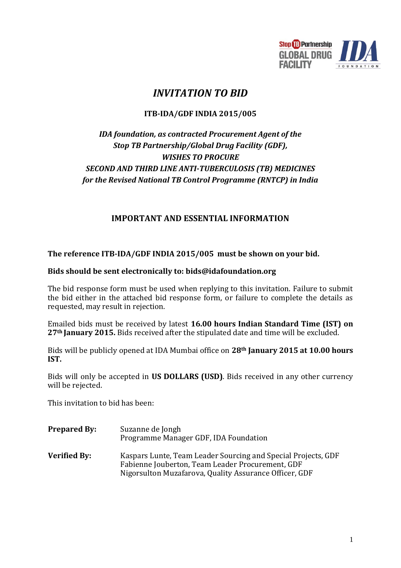

# *INVITATION TO BID*

# **ITB-IDA/GDF INDIA 2015/005**

# *IDA foundation, as contracted Procurement Agent of the Stop TB Partnership/Global Drug Facility (GDF), WISHES TO PROCURE SECOND AND THIRD LINE ANTI-TUBERCULOSIS (TB) MEDICINES for the Revised National TB Control Programme (RNTCP) in India*

# **IMPORTANT AND ESSENTIAL INFORMATION**

**The reference ITB-IDA/GDF INDIA 2015/005 must be shown on your bid.**

## **Bids should be sent electronically to: bids@idafoundation.org**

The bid response form must be used when replying to this invitation. Failure to submit the bid either in the attached bid response form, or failure to complete the details as requested, may result in rejection.

Emailed bids must be received by latest **16.00 hours Indian Standard Time (IST) on 27th January 2015.** Bids received after the stipulated date and time will be excluded.

Bids will be publicly opened at IDA Mumbai office on **28th January 2015 at 10.00 hours IST.** 

Bids will only be accepted in **US DOLLARS (USD)**. Bids received in any other currency will be rejected.

This invitation to bid has been:

- **Prepared By:** Suzanne de Jongh Programme Manager GDF, IDA Foundation
- **Verified By:** Kaspars Lunte, Team Leader Sourcing and Special Projects, GDF Fabienne Jouberton, Team Leader Procurement, GDF Nigorsulton Muzafarova, Quality Assurance Officer, GDF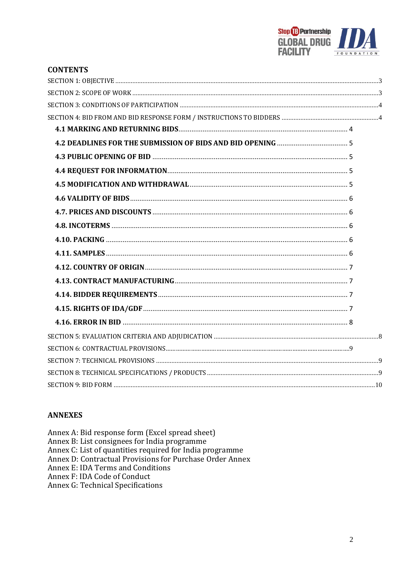

| <b>CONTENTS</b> |  |
|-----------------|--|
|                 |  |
|                 |  |
|                 |  |
|                 |  |
|                 |  |
|                 |  |
|                 |  |
|                 |  |
|                 |  |
|                 |  |
|                 |  |
|                 |  |
|                 |  |
|                 |  |
|                 |  |
|                 |  |
|                 |  |
|                 |  |
|                 |  |
|                 |  |
|                 |  |
|                 |  |
|                 |  |
|                 |  |

# **ANNEXES**

Annex A: Bid response form (Excel spread sheet)<br>Annex B: List consignees for India programme Annex C: List of quantities required for India programme<br>Annex D: Contractual Provisions for Purchase Order Annex Annex E: IDA Terms and Conditions Annex F: IDA Code of Conduct Annex G: Technical Specifications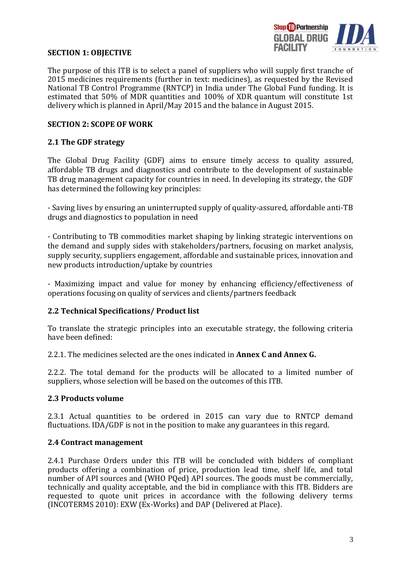

#### <span id="page-2-0"></span>**SECTION 1: OBJECTIVE**

The purpose of this ITB is to select a panel of suppliers who will supply first tranche of 2015 medicines requirements (further in text: medicines), as requested by the Revised National TB Control Programme (RNTCP) in India under The Global Fund funding. It is estimated that 50% of MDR quantities and 100% of XDR quantum will constitute 1st delivery which is planned in April/May 2015 and the balance in August 2015.

## <span id="page-2-1"></span>**SECTION 2: SCOPE OF WORK**

#### **2.1 The GDF strategy**

The Global Drug Facility (GDF) aims to ensure timely access to quality assured, affordable TB drugs and diagnostics and contribute to the development of sustainable TB drug management capacity for countries in need. In developing its strategy, the GDF has determined the following key principles:

- Saving lives by ensuring an uninterrupted supply of quality-assured, affordable anti-TB drugs and diagnostics to population in need

- Contributing to TB commodities market shaping by linking strategic interventions on the demand and supply sides with stakeholders/partners, focusing on market analysis, supply security, suppliers engagement, affordable and sustainable prices, innovation and new products introduction/uptake by countries

- Maximizing impact and value for money by enhancing efficiency/effectiveness of operations focusing on quality of services and clients/partners feedback

#### **2.2 Technical Specifications/ Product list**

To translate the strategic principles into an executable strategy, the following criteria have been defined:

2.2.1. The medicines selected are the ones indicated in **Annex C and Annex G.**

2.2.2. The total demand for the products will be allocated to a limited number of suppliers, whose selection will be based on the outcomes of this ITB.

#### **2.3 Products volume**

2.3.1 Actual quantities to be ordered in 2015 can vary due to RNTCP demand fluctuations. IDA/GDF is not in the position to make any guarantees in this regard.

#### **2.4 Contract management**

2.4.1 Purchase Orders under this ITB will be concluded with bidders of compliant products offering a combination of price, production lead time, shelf life, and total number of API sources and (WHO PQed) API sources. The goods must be commercially, technically and quality acceptable, and the bid in compliance with this ITB. Bidders are requested to quote unit prices in accordance with the following delivery terms (INCOTERMS 2010): EXW (Ex-Works) and DAP (Delivered at Place).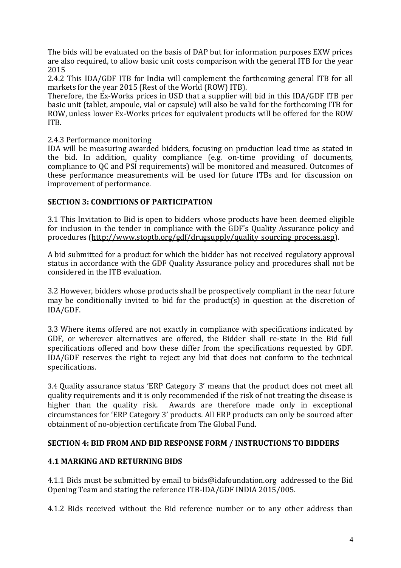The bids will be evaluated on the basis of DAP but for information purposes EXW prices are also required, to allow basic unit costs comparison with the general ITB for the year 2015

2.4.2 This IDA/GDF ITB for India will complement the forthcoming general ITB for all markets for the year 2015 (Rest of the World (ROW) ITB).

Therefore, the Ex-Works prices in USD that a supplier will bid in this IDA/GDF ITB per basic unit (tablet, ampoule, vial or capsule) will also be valid for the forthcoming ITB for ROW, unless lower Ex-Works prices for equivalent products will be offered for the ROW ITB.

2.4.3 Performance monitoring

IDA will be measuring awarded bidders, focusing on production lead time as stated in the bid. In addition, quality compliance (e.g. on-time providing of documents, compliance to QC and PSI requirements) will be monitored and measured. Outcomes of these performance measurements will be used for future ITBs and for discussion on improvement of performance.

## <span id="page-3-0"></span>**SECTION 3: CONDITIONS OF PARTICIPATION**

3.1 This Invitation to Bid is open to bidders whose products have been deemed eligible for inclusion in the tender in compliance with the GDF's Quality Assurance policy and procedures [\(http://www.stoptb.org/gdf/drugsupply/quality\\_sourcing\\_process.asp\)](http://www.stoptb.org/gdf/drugsupply/quality_sourcing_process.asp).

A bid submitted for a product for which the bidder has not received regulatory approval status in accordance with the GDF Quality Assurance policy and procedures shall not be considered in the ITB evaluation.

3.2 However, bidders whose products shall be prospectively compliant in the near future may be conditionally invited to bid for the product(s) in question at the discretion of IDA/GDF.

3.3 Where items offered are not exactly in compliance with specifications indicated by GDF, or wherever alternatives are offered, the Bidder shall re-state in the Bid full specifications offered and how these differ from the specifications requested by GDF. IDA/GDF reserves the right to reject any bid that does not conform to the technical specifications.

3.4 Quality assurance status 'ERP Category 3' means that the product does not meet all quality requirements and it is only recommended if the risk of not treating the disease is higher than the quality risk. Awards are therefore made only in exceptional circumstances for 'ERP Category 3' products. All ERP products can only be sourced after obtainment of no-objection certificate from The Global Fund.

## <span id="page-3-1"></span>**SECTION 4: BID FROM AND BID RESPONSE FORM / INSTRUCTIONS TO BIDDERS**

## <span id="page-3-2"></span>**4.1 MARKING AND RETURNING BIDS**

4.1.1 Bids must be submitted by email to bids@idafoundation.org addressed to the Bid Opening Team and stating the reference ITB-IDA/GDF INDIA 2015/005.

4.1.2 Bids received without the Bid reference number or to any other address than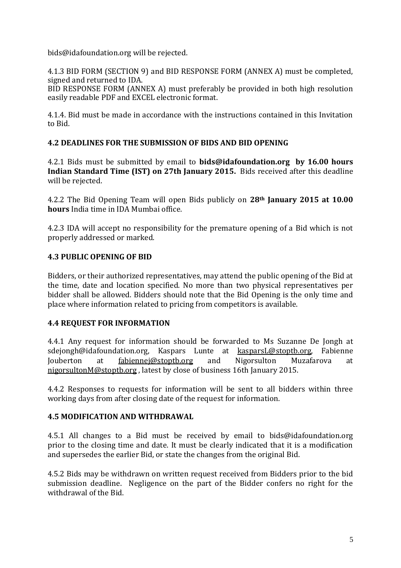bids@idafoundation.org will be rejected.

4.1.3 BID FORM (SECTION 9) and BID RESPONSE FORM (ANNEX A) must be completed, signed and returned to IDA.

BID RESPONSE FORM (ANNEX A) must preferably be provided in both high resolution easily readable PDF and EXCEL electronic format.

4.1.4. Bid must be made in accordance with the instructions contained in this Invitation to Bid.

# <span id="page-4-0"></span>**4.2 DEADLINES FOR THE SUBMISSION OF BIDS AND BID OPENING**

4.2.1 Bids must be submitted by email to **bids@idafoundation.org by 16.00 hours Indian Standard Time (IST) on 27th January 2015.** Bids received after this deadline will be rejected.

4.2.2 The Bid Opening Team will open Bids publicly on **28th January 2015 at 10.00 hours** India time in IDA Mumbai office.

4.2.3 IDA will accept no responsibility for the premature opening of a Bid which is not properly addressed or marked.

# <span id="page-4-1"></span>**4.3 PUBLIC OPENING OF BID**

Bidders, or their authorized representatives, may attend the public opening of the Bid at the time, date and location specified. No more than two physical representatives per bidder shall be allowed. Bidders should note that the Bid Opening is the only time and place where information related to pricing from competitors is available.

# <span id="page-4-2"></span>**4.4 REQUEST FOR INFORMATION**

4.4.1 Any request for information should be forwarded to Ms Suzanne De Jongh at sdejongh@idafoundation.org, Kaspars Lunte at kasparsL[@stoptb.org,](mailto:stoptb.org) Fabienne Jouberton at [fabiennej@stoptb.org](mailto:fabiennej@stoptb.org) and Nigorsulton Muzafarova at nigorsultonM@stoptb.org , latest by close of business 16th January 2015.

4.4.2 Responses to requests for information will be sent to all bidders within three working days from after closing date of the request for information.

# <span id="page-4-3"></span>**4.5 MODIFICATION AND WITHDRAWAL**

4.5.1 All changes to a Bid must be received by email to bids@idafoundation.org prior to the closing time and date. It must be clearly indicated that it is a modification and supersedes the earlier Bid, or state the changes from the original Bid.

4.5.2 Bids may be withdrawn on written request received from Bidders prior to the bid submission deadline. Negligence on the part of the Bidder confers no right for the withdrawal of the Bid.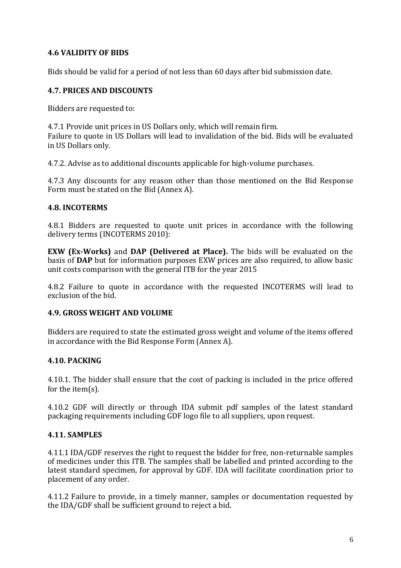# <span id="page-5-0"></span>**4.6 VALIDITY OF BIDS**

Bids should be valid for a period of not less than 60 days after bid submission date.

# <span id="page-5-1"></span>**4.7. PRICES AND DISCOUNTS**

Bidders are requested to:

4.7.1 Provide unit prices in US Dollars only, which will remain firm. Failure to quote in US Dollars will lead to invalidation of the bid. Bids will be evaluated in US Dollars only.

4.7.2. Advise as to additional discounts applicable for high-volume purchases.

4.7.3 Any discounts for any reason other than those mentioned on the Bid Response Form must be stated on the Bid (Annex A).

## <span id="page-5-2"></span>**4.8. INCOTERMS**

4.8.1 Bidders are requested to quote unit prices in accordance with the following delivery terms (INCOTERMS 2010):

**EXW (Ex-Works)** and **DAP (Delivered at Place).** The bids will be evaluated on the basis of **DAP** but for information purposes EXW prices are also required, to allow basic unit costs comparison with the general ITB for the year 2015

4.8.2 Failure to quote in accordance with the requested INCOTERMS will lead to exclusion of the bid.

## **4.9. GROSS WEIGHT AND VOLUME**

Bidders are required to state the estimated gross weight and volume of the items offered in accordance with the Bid Response Form (Annex A).

## <span id="page-5-3"></span>**4.10. PACKING**

4.10.1. The bidder shall ensure that the cost of packing is included in the price offered for the item(s).

4.10.2 GDF will directly or through IDA submit pdf samples of the latest standard packaging requirements including GDF logo file to all suppliers, upon request.

## <span id="page-5-4"></span>**4.11. SAMPLES**

4.11.1 IDA/GDF reserves the right to request the bidder for free, non-returnable samples of medicines under this ITB. The samples shall be labelled and printed according to the latest standard specimen, for approval by GDF. IDA will facilitate coordination prior to placement of any order.

4.11.2 Failure to provide, in a timely manner, samples or documentation requested by the IDA/GDF shall be sufficient ground to reject a bid.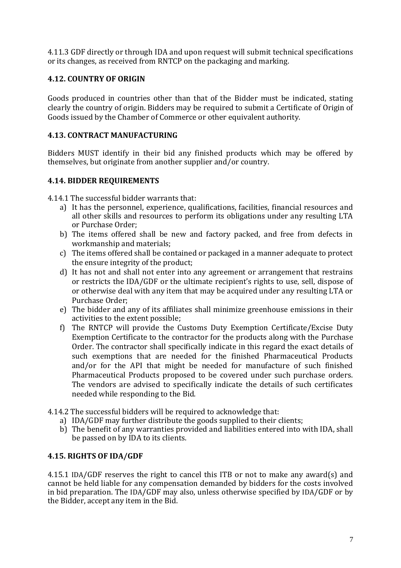4.11.3 GDF directly or through IDA and upon request will submit technical specifications or its changes, as received from RNTCP on the packaging and marking.

# <span id="page-6-0"></span>**4.12. COUNTRY OF ORIGIN**

Goods produced in countries other than that of the Bidder must be indicated, stating clearly the country of origin. Bidders may be required to submit a Certificate of Origin of Goods issued by the Chamber of Commerce or other equivalent authority.

# <span id="page-6-1"></span>**4.13. CONTRACT MANUFACTURING**

Bidders MUST identify in their bid any finished products which may be offered by themselves, but originate from another supplier and/or country.

# <span id="page-6-2"></span>**4.14. BIDDER REQUIREMENTS**

4.14.1 The successful bidder warrants that:

- a) It has the personnel, experience, qualifications, facilities, financial resources and all other skills and resources to perform its obligations under any resulting LTA or Purchase Order;
- b) The items offered shall be new and factory packed, and free from defects in workmanship and materials;
- c) The items offered shall be contained or packaged in a manner adequate to protect the ensure integrity of the product;
- d) It has not and shall not enter into any agreement or arrangement that restrains or restricts the IDA/GDF or the ultimate recipient's rights to use, sell, dispose of or otherwise deal with any item that may be acquired under any resulting LTA or Purchase Order;
- e) The bidder and any of its affiliates shall minimize greenhouse emissions in their activities to the extent possible;
- f) The RNTCP will provide the Customs Duty Exemption Certificate/Excise Duty Exemption Certificate to the contractor for the products along with the Purchase Order. The contractor shall specifically indicate in this regard the exact details of such exemptions that are needed for the finished Pharmaceutical Products and/or for the API that might be needed for manufacture of such finished Pharmaceutical Products proposed to be covered under such purchase orders. The vendors are advised to specifically indicate the details of such certificates needed while responding to the Bid.
- 4.14.2 The successful bidders will be required to acknowledge that:
	- a) IDA/GDF may further distribute the goods supplied to their clients;
	- b) The benefit of any warranties provided and liabilities entered into with IDA, shall be passed on by IDA to its clients.

## <span id="page-6-3"></span>**4.15. RIGHTS OF IDA/GDF**

4.15.1 IDA/GDF reserves the right to cancel this ITB or not to make any award(s) and cannot be held liable for any compensation demanded by bidders for the costs involved in bid preparation. The IDA/GDF may also, unless otherwise specified by IDA/GDF or by the Bidder, accept any item in the Bid.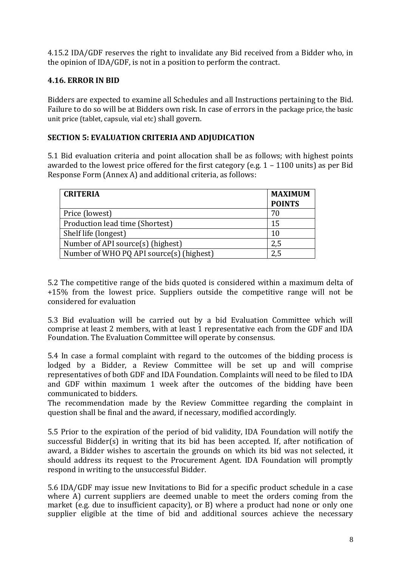4.15.2 IDA/GDF reserves the right to invalidate any Bid received from a Bidder who, in the opinion of IDA/GDF, is not in a position to perform the contract.

# <span id="page-7-0"></span>**4.16. ERROR IN BID**

<span id="page-7-1"></span>Bidders are expected to examine all Schedules and all Instructions pertaining to the Bid. Failure to do so will be at Bidders own risk. In case of errors in the package price, the basic unit price (tablet, capsule, vial etc) shall govern.

# **SECTION 5: EVALUATION CRITERIA AND ADJUDICATION**

5.1 Bid evaluation criteria and point allocation shall be as follows; with highest points awarded to the lowest price offered for the first category (e.g. 1 – 1100 units) as per Bid Response Form (Annex A) and additional criteria, as follows:

| <b>CRITERIA</b>                          | <b>MAXIMUM</b><br><b>POINTS</b> |
|------------------------------------------|---------------------------------|
| Price (lowest)                           | 70                              |
| Production lead time (Shortest)          | 15                              |
| Shelf life (longest)                     | 10                              |
| Number of API source(s) (highest)        | 2,5                             |
| Number of WHO PQ API source(s) (highest) |                                 |

5.2 The competitive range of the bids quoted is considered within a maximum delta of +15% from the lowest price. Suppliers outside the competitive range will not be considered for evaluation

5.3 Bid evaluation will be carried out by a bid Evaluation Committee which will comprise at least 2 members, with at least 1 representative each from the GDF and IDA Foundation. The Evaluation Committee will operate by consensus.

5.4 In case a formal complaint with regard to the outcomes of the bidding process is lodged by a Bidder, a Review Committee will be set up and will comprise representatives of both GDF and IDA Foundation. Complaints will need to be filed to IDA and GDF within maximum 1 week after the outcomes of the bidding have been communicated to bidders.

The recommendation made by the Review Committee regarding the complaint in question shall be final and the award, if necessary, modified accordingly.

5.5 Prior to the expiration of the period of bid validity, IDA Foundation will notify the successful Bidder(s) in writing that its bid has been accepted. If, after notification of award, a Bidder wishes to ascertain the grounds on which its bid was not selected, it should address its request to the Procurement Agent. IDA Foundation will promptly respond in writing to the unsuccessful Bidder.

5.6 IDA/GDF may issue new Invitations to Bid for a specific product schedule in a case where  $\hat{A}$ ) current suppliers are deemed unable to meet the orders coming from the market (e.g. due to insufficient capacity), or B) where a product had none or only one supplier eligible at the time of bid and additional sources achieve the necessary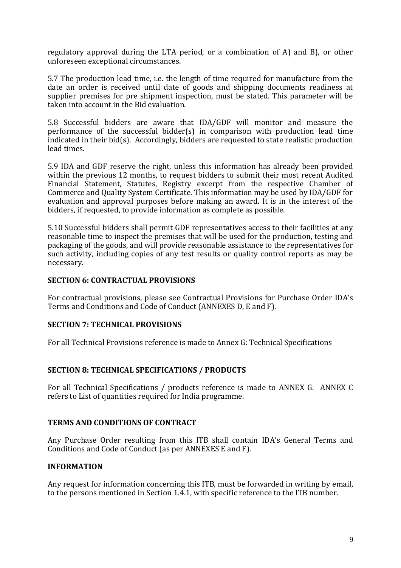regulatory approval during the LTA period, or a combination of A) and B), or other unforeseen exceptional circumstances.

5.7 The production lead time, i.e. the length of time required for manufacture from the date an order is received until date of goods and shipping documents readiness at supplier premises for pre shipment inspection, must be stated. This parameter will be taken into account in the Bid evaluation.

5.8 Successful bidders are aware that IDA/GDF will monitor and measure the performance of the successful bidder(s) in comparison with production lead time indicated in their bid(s). Accordingly, bidders are requested to state realistic production lead times.

5.9 IDA and GDF reserve the right, unless this information has already been provided within the previous 12 months, to request bidders to submit their most recent Audited Financial Statement, Statutes, Registry excerpt from the respective Chamber of Commerce and Quality System Certificate. This information may be used by IDA/GDF for evaluation and approval purposes before making an award. It is in the interest of the bidders, if requested, to provide information as complete as possible.

5.10 Successful bidders shall permit GDF representatives access to their facilities at any reasonable time to inspect the premises that will be used for the production, testing and packaging of the goods, and will provide reasonable assistance to the representatives for such activity, including copies of any test results or quality control reports as may be necessary.

#### **SECTION 6: CONTRACTUAL PROVISIONS**

For contractual provisions, please see Contractual Provisions for Purchase Order IDA's Terms and Conditions and Code of Conduct (ANNEXES D, E and F).

# <span id="page-8-0"></span>**SECTION 7: TECHNICAL PROVISIONS**

For all Technical Provisions reference is made to Annex G: Technical Specifications

## <span id="page-8-1"></span>**SECTION 8: TECHNICAL SPECIFICATIONS / PRODUCTS**

For all Technical Specifications / products reference is made to ANNEX G. ANNEX C refers to List of quantities required for India programme.

## **TERMS AND CONDITIONS OF CONTRACT**

Any Purchase Order resulting from this ITB shall contain IDA's General Terms and Conditions and Code of Conduct (as per ANNEXES E and F).

## **INFORMATION**

Any request for information concerning this ITB, must be forwarded in writing by email, to the persons mentioned in Section 1.4.1, with specific reference to the ITB number.